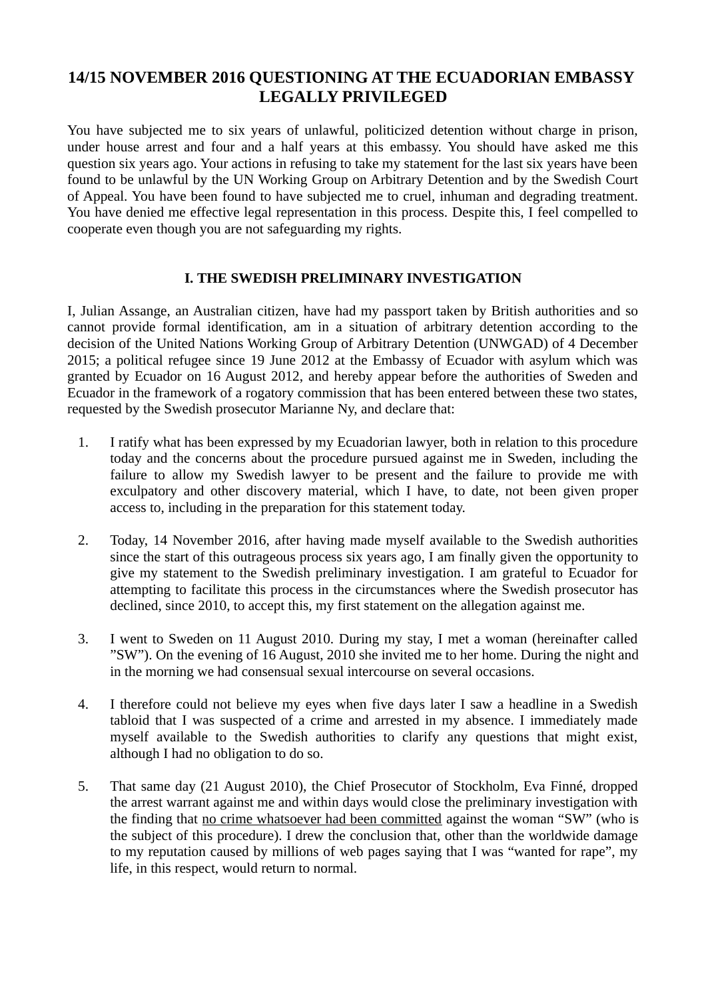# 14/15 NOVEMBER 2016 QUESTIONING AT THE ECUADORIAN EMBASSY LEGALLY PRIVILEGED

You have subjected me to six years of unlawful, politicized detention without charge in prison, under house arrest and four and a half years at this embassy. You should have asked me this question six years ago. Your actions in refusing to take my statement for the last six years have been found to be unlawful by the UN Working Group on Arbitrary Detention and by the Swedish Court of Appeal. You have been found to have subjected me to cruel, inhuman and degrading treatment. You have denied me effective legal representation in this process. Despite this, I feel compelled to cooperate even though you are not safeguarding my rights.

## I. THE SWEDISH PRELIMINARY INVESTIGATION

I, Julian Assange, an Australian citizen, have had my passport taken by British authorities and so cannot provide formal identification, am in a situation of arbitrary detention according to the decision of the United Nations Working Group of Arbitrary Detention (UNWGAD) of 4 December 2015; a political refugee since 19 June 2012 at the Embassy of Ecuador with asylum which was granted by Ecuador on 16 August 2012, and hereby appear before the authorities of Sweden and Ecuador in the framework of a rogatory commission that has been entered between these two states, requested by the Swedish prosecutor Marianne Ny, and declare that:

- 1. I ratify what has been expressed by my Ecuadorian lawyer, both in relation to this procedure today and the concerns about the procedure pursued against me in Sweden, including the failure to allow my Swedish lawyer to be present and the failure to provide me with exculpatory and other discovery material, which I have, to date, not been given proper access to, including in the preparation for this statement today.
- 2. Today, 14 November 2016, after having made myself available to the Swedish authorities since the start of this outrageous process six years ago, I am finally given the opportunity to give my statement to the Swedish preliminary investigation. I am grateful to Ecuador for attempting to facilitate this process in the circumstances where the Swedish prosecutor has declined, since 2010, to accept this, my first statement on the allegation against me.
- 3. I went to Sweden on 11 August 2010. During my stay, I met a woman (hereinafter called "SW"). On the evening of 16 August, 2010 she invited me to her home. During the night and in the morning we had consensual sexual intercourse on several occasions.
- 4. I therefore could not believe my eyes when five days later I saw a headline in a Swedish tabloid that I was suspected of a crime and arrested in my absence. I immediately made myself available to the Swedish authorities to clarify any questions that might exist, although I had no obligation to do so.
- 5. That same day (21 August 2010), the Chief Prosecutor of Stockholm, Eva Finné, dropped the arrest warrant against me and within days would close the preliminary investigation with the finding that no crime whatsoever had been committed against the woman "SW" (who is the subject of this procedure). I drew the conclusion that, other than the worldwide damage to my reputation caused by millions of web pages saying that I was "wanted for rape", my life, in this respect, would return to normal.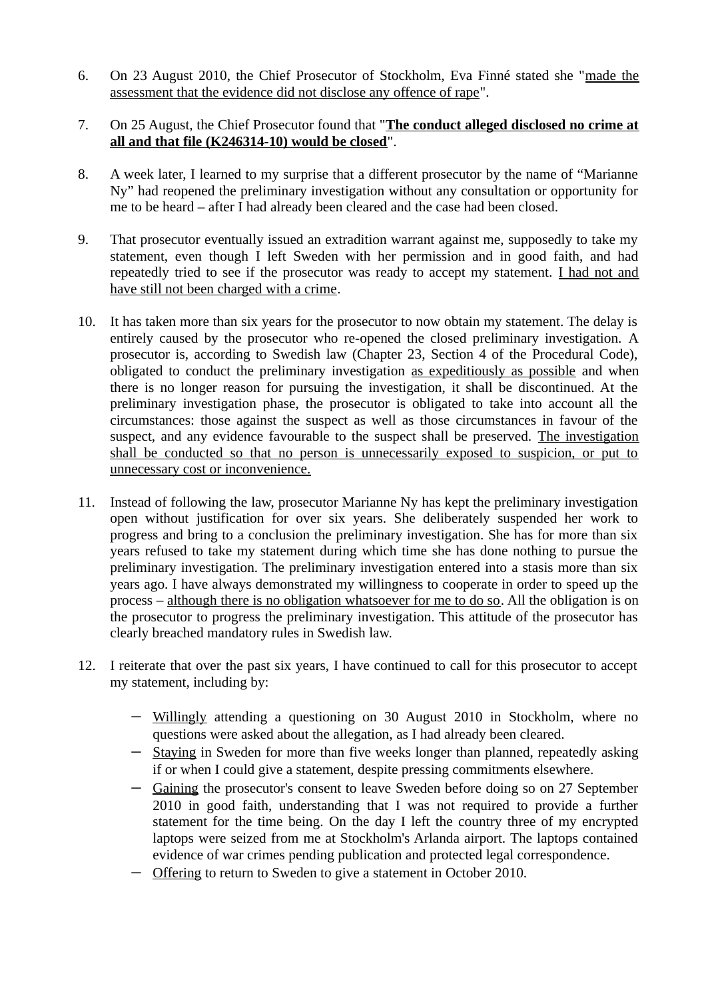- 6. On 23 August 2010, the Chief Prosecutor of Stockholm, Eva Finné stated she "made the assessment that the evidence did not disclose any offence of rape".
- 7. On 25 August, the Chief Prosecutor found that "The conduct alleged disclosed no crime at all and that file (K246314-10) would be closed".
- 8. A week later, I learned to my surprise that a different prosecutor by the name of "Marianne Ny" had reopened the preliminary investigation without any consultation or opportunity for me to be heard – after I had already been cleared and the case had been closed.
- 9. That prosecutor eventually issued an extradition warrant against me, supposedly to take my statement, even though I left Sweden with her permission and in good faith, and had repeatedly tried to see if the prosecutor was ready to accept my statement. I had not and have still not been charged with a crime.
- 10. It has taken more than six years for the prosecutor to now obtain my statement. The delay is entirely caused by the prosecutor who re-opened the closed preliminary investigation. A prosecutor is, according to Swedish law (Chapter 23, Section 4 of the Procedural Code), obligated to conduct the preliminary investigation as expeditiously as possible and when there is no longer reason for pursuing the investigation, it shall be discontinued. At the preliminary investigation phase, the prosecutor is obligated to take into account all the circumstances: those against the suspect as well as those circumstances in favour of the suspect, and any evidence favourable to the suspect shall be preserved. The investigation shall be conducted so that no person is unnecessarily exposed to suspicion, or put to unnecessary cost or inconvenience.
- 11. Instead of following the law, prosecutor Marianne Ny has kept the preliminary investigation open without justification for over six years. She deliberately suspended her work to progress and bring to a conclusion the preliminary investigation. She has for more than six years refused to take my statement during which time she has done nothing to pursue the preliminary investigation. The preliminary investigation entered into a stasis more than six years ago. I have always demonstrated my willingness to cooperate in order to speed up the process – although there is no obligation whatsoever for me to do so. All the obligation is on the prosecutor to progress the preliminary investigation. This attitude of the prosecutor has clearly breached mandatory rules in Swedish law.
- 12. I reiterate that over the past six years, I have continued to call for this prosecutor to accept my statement, including by:
	- Willingly attending a questioning on 30 August 2010 in Stockholm, where no questions were asked about the allegation, as I had already been cleared.
	- Staying in Sweden for more than five weeks longer than planned, repeatedly asking if or when I could give a statement, despite pressing commitments elsewhere.
	- Gaining the prosecutor's consent to leave Sweden before doing so on 27 September 2010 in good faith, understanding that I was not required to provide a further statement for the time being. On the day I left the country three of my encrypted laptops were seized from me at Stockholm's Arlanda airport. The laptops contained evidence of war crimes pending publication and protected legal correspondence.
	- Offering to return to Sweden to give a statement in October 2010.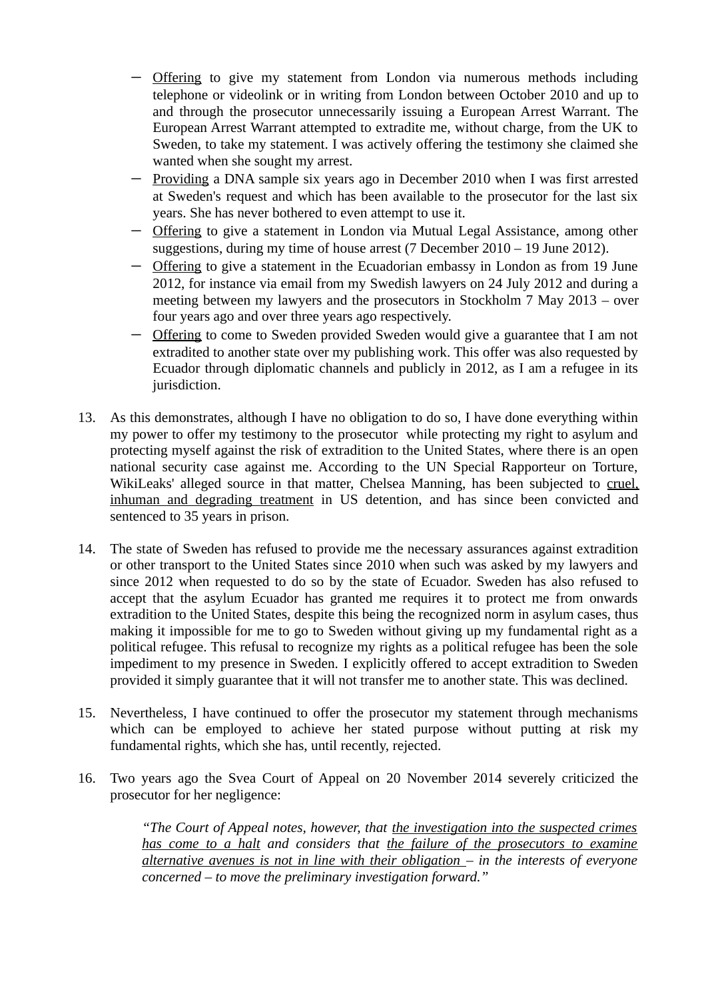- Offering to give my statement from London via numerous methods including telephone or videolink or in writing from London between October 2010 and up to and through the prosecutor unnecessarily issuing a European Arrest Warrant. The European Arrest Warrant attempted to extradite me, without charge, from the UK to Sweden, to take my statement. I was actively offering the testimony she claimed she wanted when she sought my arrest.
- Providing a DNA sample six years ago in December 2010 when I was first arrested at Sweden's request and which has been available to the prosecutor for the last six years. She has never bothered to even attempt to use it.
- Offering to give a statement in London via Mutual Legal Assistance, among other suggestions, during my time of house arrest (7 December 2010 – 19 June 2012).
- Offering to give a statement in the Ecuadorian embassy in London as from 19 June 2012, for instance via email from my Swedish lawyers on 24 July 2012 and during a meeting between my lawyers and the prosecutors in Stockholm 7 May 2013 – over four years ago and over three years ago respectively.
- Offering to come to Sweden provided Sweden would give a guarantee that I am not extradited to another state over my publishing work. This offer was also requested by Ecuador through diplomatic channels and publicly in 2012, as I am a refugee in its jurisdiction.
- 13. As this demonstrates, although I have no obligation to do so, I have done everything within my power to offer my testimony to the prosecutor while protecting my right to asylum and protecting myself against the risk of extradition to the United States, where there is an open national security case against me. According to the UN Special Rapporteur on Torture, WikiLeaks' alleged source in that matter, Chelsea Manning, has been subjected to cruel, inhuman and degrading treatment in US detention, and has since been convicted and sentenced to 35 years in prison.
- 14. The state of Sweden has refused to provide me the necessary assurances against extradition or other transport to the United States since 2010 when such was asked by my lawyers and since 2012 when requested to do so by the state of Ecuador. Sweden has also refused to accept that the asylum Ecuador has granted me requires it to protect me from onwards extradition to the United States, despite this being the recognized norm in asylum cases, thus making it impossible for me to go to Sweden without giving up my fundamental right as a political refugee. This refusal to recognize my rights as a political refugee has been the sole impediment to my presence in Sweden. I explicitly offered to accept extradition to Sweden provided it simply guarantee that it will not transfer me to another state. This was declined.
- 15. Nevertheless, I have continued to offer the prosecutor my statement through mechanisms which can be employed to achieve her stated purpose without putting at risk my fundamental rights, which she has, until recently, rejected.
- 16. Two years ago the Svea Court of Appeal on 20 November 2014 severely criticized the prosecutor for her negligence:

"The Court of Appeal notes, however, that the investigation into the suspected crimes has come to a halt and considers that the failure of the prosecutors to examine alternative avenues is not in line with their obligation  $-$  in the interests of everyone concerned – to move the preliminary investigation forward."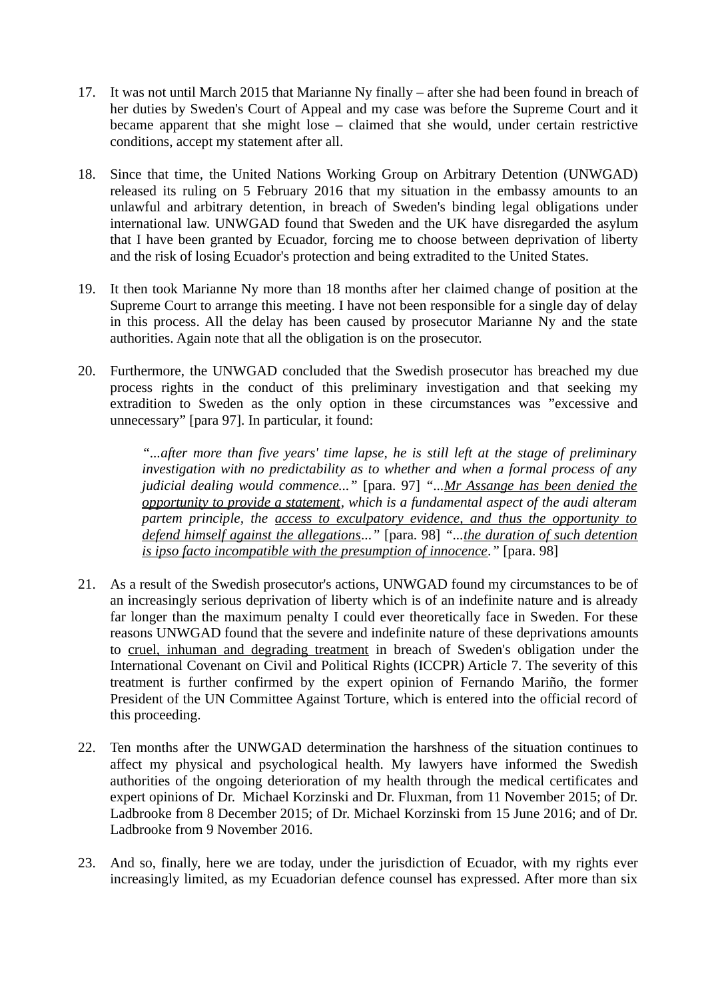- 17. It was not until March 2015 that Marianne Ny finally after she had been found in breach of her duties by Sweden's Court of Appeal and my case was before the Supreme Court and it became apparent that she might lose – claimed that she would, under certain restrictive conditions, accept my statement after all.
- 18. Since that time, the United Nations Working Group on Arbitrary Detention (UNWGAD) released its ruling on 5 February 2016 that my situation in the embassy amounts to an unlawful and arbitrary detention, in breach of Sweden's binding legal obligations under international law. UNWGAD found that Sweden and the UK have disregarded the asylum that I have been granted by Ecuador, forcing me to choose between deprivation of liberty and the risk of losing Ecuador's protection and being extradited to the United States.
- 19. It then took Marianne Ny more than 18 months after her claimed change of position at the Supreme Court to arrange this meeting. I have not been responsible for a single day of delay in this process. All the delay has been caused by prosecutor Marianne Ny and the state authorities. Again note that all the obligation is on the prosecutor.
- 20. Furthermore, the UNWGAD concluded that the Swedish prosecutor has breached my due process rights in the conduct of this preliminary investigation and that seeking my extradition to Sweden as the only option in these circumstances was "excessive and unnecessary" [para 97]. In particular, it found:

"...after more than five years' time lapse, he is still left at the stage of preliminary investigation with no predictability as to whether and when a formal process of any judicial dealing would commence..." [para. 97] "...Mr Assange has been denied the opportunity to provide a statement, which is a fundamental aspect of the audi alteram partem principle, the access to exculpatory evidence, and thus the opportunity to defend himself against the allegations..." [para. 98] "...the duration of such detention is ipso facto incompatible with the presumption of innocence." [para. 98]

- 21. As a result of the Swedish prosecutor's actions, UNWGAD found my circumstances to be of an increasingly serious deprivation of liberty which is of an indefinite nature and is already far longer than the maximum penalty I could ever theoretically face in Sweden. For these reasons UNWGAD found that the severe and indefinite nature of these deprivations amounts to cruel, inhuman and degrading treatment in breach of Sweden's obligation under the International Covenant on Civil and Political Rights (ICCPR) Article 7. The severity of this treatment is further confirmed by the expert opinion of Fernando Mariño, the former President of the UN Committee Against Torture, which is entered into the official record of this proceeding.
- 22. Ten months after the UNWGAD determination the harshness of the situation continues to affect my physical and psychological health. My lawyers have informed the Swedish authorities of the ongoing deterioration of my health through the medical certificates and expert opinions of Dr. Michael Korzinski and Dr. Fluxman, from 11 November 2015; of Dr. Ladbrooke from 8 December 2015; of Dr. Michael Korzinski from 15 June 2016; and of Dr. Ladbrooke from 9 November 2016.
- 23. And so, finally, here we are today, under the jurisdiction of Ecuador, with my rights ever increasingly limited, as my Ecuadorian defence counsel has expressed. After more than six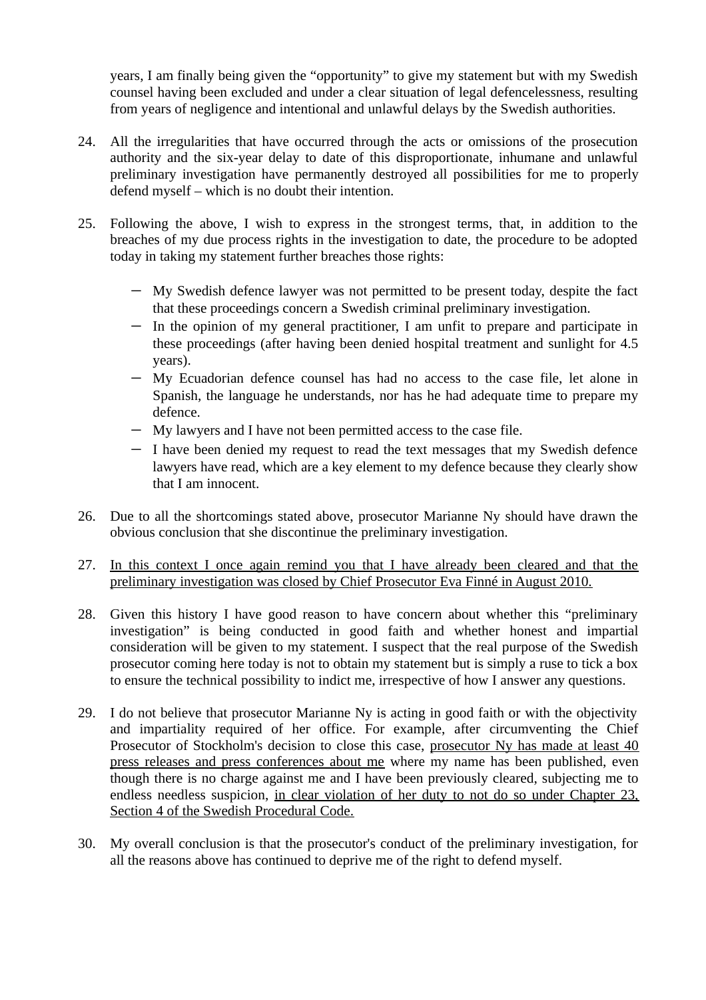years, I am finally being given the "opportunity" to give my statement but with my Swedish counsel having been excluded and under a clear situation of legal defencelessness, resulting from years of negligence and intentional and unlawful delays by the Swedish authorities.

- 24. All the irregularities that have occurred through the acts or omissions of the prosecution authority and the six-year delay to date of this disproportionate, inhumane and unlawful preliminary investigation have permanently destroyed all possibilities for me to properly defend myself – which is no doubt their intention.
- 25. Following the above, I wish to express in the strongest terms, that, in addition to the breaches of my due process rights in the investigation to date, the procedure to be adopted today in taking my statement further breaches those rights:
	- My Swedish defence lawyer was not permitted to be present today, despite the fact that these proceedings concern a Swedish criminal preliminary investigation.
	- In the opinion of my general practitioner, I am unfit to prepare and participate in these proceedings (after having been denied hospital treatment and sunlight for 4.5 years).
	- My Ecuadorian defence counsel has had no access to the case file, let alone in Spanish, the language he understands, nor has he had adequate time to prepare my defence.
	- My lawyers and I have not been permitted access to the case file.
	- I have been denied my request to read the text messages that my Swedish defence lawyers have read, which are a key element to my defence because they clearly show that I am innocent.
- 26. Due to all the shortcomings stated above, prosecutor Marianne Ny should have drawn the obvious conclusion that she discontinue the preliminary investigation.
- 27. In this context I once again remind you that I have already been cleared and that the preliminary investigation was closed by Chief Prosecutor Eva Finné in August 2010.
- 28. Given this history I have good reason to have concern about whether this "preliminary investigation" is being conducted in good faith and whether honest and impartial consideration will be given to my statement. I suspect that the real purpose of the Swedish prosecutor coming here today is not to obtain my statement but is simply a ruse to tick a box to ensure the technical possibility to indict me, irrespective of how I answer any questions.
- 29. I do not believe that prosecutor Marianne Ny is acting in good faith or with the objectivity and impartiality required of her office. For example, after circumventing the Chief Prosecutor of Stockholm's decision to close this case, prosecutor Ny has made at least 40 press releases and press conferences about me where my name has been published, even though there is no charge against me and I have been previously cleared, subjecting me to endless needless suspicion, in clear violation of her duty to not do so under Chapter 23, Section 4 of the Swedish Procedural Code.
- 30. My overall conclusion is that the prosecutor's conduct of the preliminary investigation, for all the reasons above has continued to deprive me of the right to defend myself.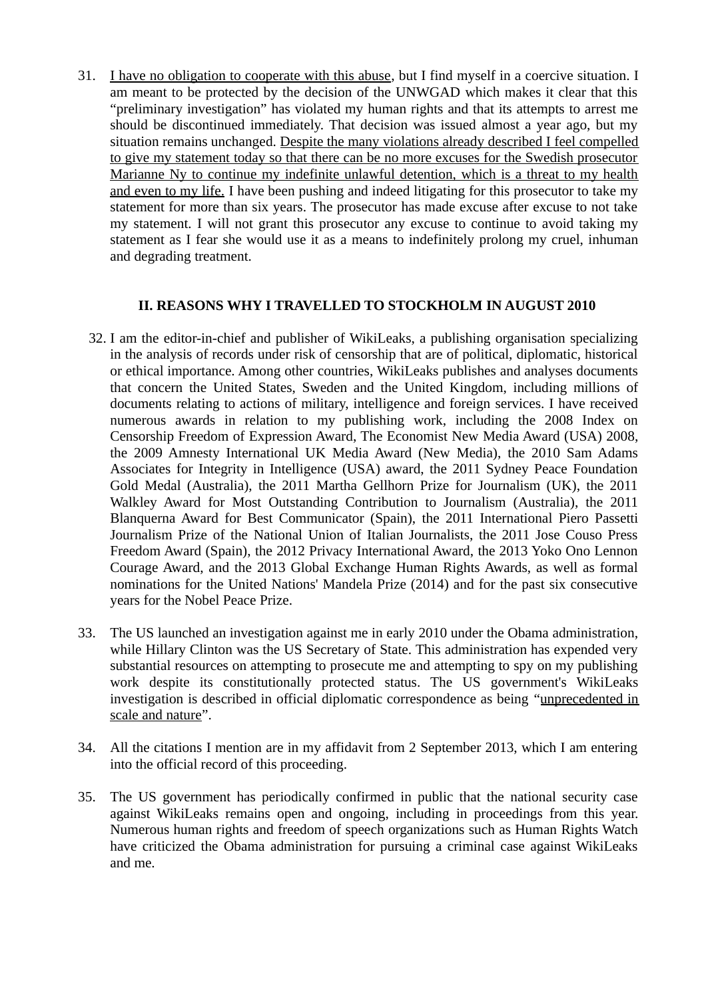31. I have no obligation to cooperate with this abuse, but I find myself in a coercive situation. I am meant to be protected by the decision of the UNWGAD which makes it clear that this "preliminary investigation" has violated my human rights and that its attempts to arrest me should be discontinued immediately. That decision was issued almost a year ago, but my situation remains unchanged. Despite the many violations already described I feel compelled to give my statement today so that there can be no more excuses for the Swedish prosecutor Marianne Ny to continue my indefinite unlawful detention, which is a threat to my health and even to my life. I have been pushing and indeed litigating for this prosecutor to take my statement for more than six years. The prosecutor has made excuse after excuse to not take my statement. I will not grant this prosecutor any excuse to continue to avoid taking my statement as I fear she would use it as a means to indefinitely prolong my cruel, inhuman and degrading treatment.

## II. REASONS WHY I TRAVELLED TO STOCKHOLM IN AUGUST 2010

- 32. I am the editor-in-chief and publisher of WikiLeaks, a publishing organisation specializing in the analysis of records under risk of censorship that are of political, diplomatic, historical or ethical importance. Among other countries, WikiLeaks publishes and analyses documents that concern the United States, Sweden and the United Kingdom, including millions of documents relating to actions of military, intelligence and foreign services. I have received numerous awards in relation to my publishing work, including the 2008 Index on Censorship Freedom of Expression Award, The Economist New Media Award (USA) 2008, the 2009 Amnesty International UK Media Award (New Media), the 2010 Sam Adams Associates for Integrity in Intelligence (USA) award, the 2011 Sydney Peace Foundation Gold Medal (Australia), the 2011 Martha Gellhorn Prize for Journalism (UK), the 2011 Walkley Award for Most Outstanding Contribution to Journalism (Australia), the 2011 Blanquerna Award for Best Communicator (Spain), the 2011 International Piero Passetti Journalism Prize of the National Union of Italian Journalists, the 2011 Jose Couso Press Freedom Award (Spain), the 2012 Privacy International Award, the 2013 Yoko Ono Lennon Courage Award, and the 2013 Global Exchange Human Rights Awards, as well as formal nominations for the United Nations' Mandela Prize (2014) and for the past six consecutive years for the Nobel Peace Prize.
- 33. The US launched an investigation against me in early 2010 under the Obama administration, while Hillary Clinton was the US Secretary of State. This administration has expended very substantial resources on attempting to prosecute me and attempting to spy on my publishing work despite its constitutionally protected status. The US government's WikiLeaks investigation is described in official diplomatic correspondence as being "unprecedented in scale and nature".
- 34. All the citations I mention are in my affidavit from 2 September 2013, which I am entering into the official record of this proceeding.
- 35. The US government has periodically confirmed in public that the national security case against WikiLeaks remains open and ongoing, including in proceedings from this year. Numerous human rights and freedom of speech organizations such as Human Rights Watch have criticized the Obama administration for pursuing a criminal case against WikiLeaks and me.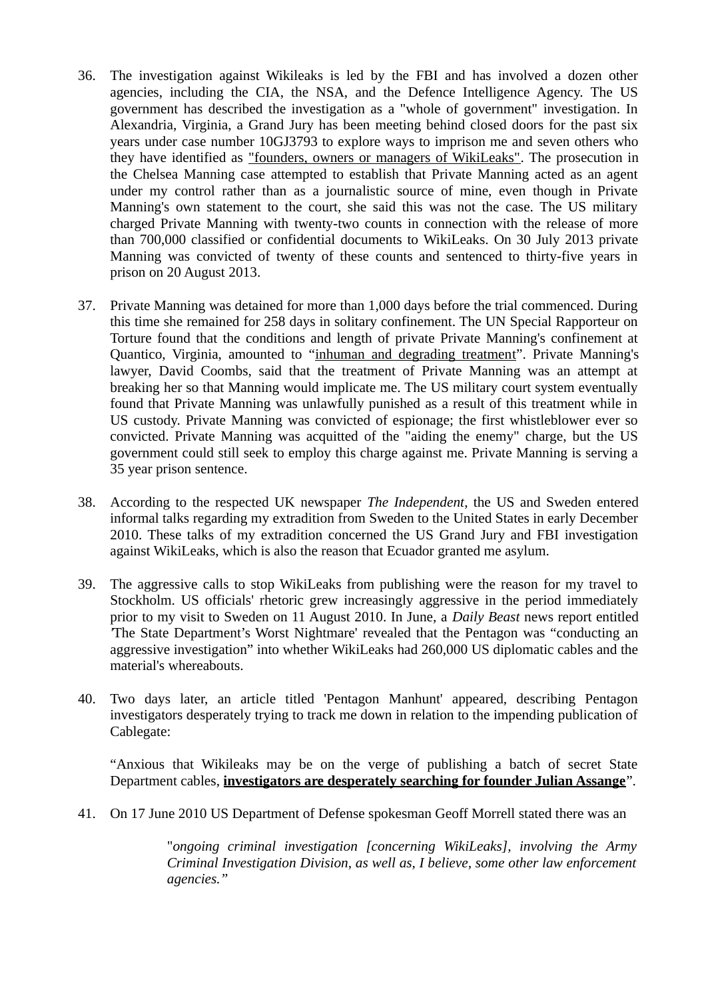- 36. The investigation against Wikileaks is led by the FBI and has involved a dozen other agencies, including the CIA, the NSA, and the Defence Intelligence Agency. The US government has described the investigation as a "whole of government" investigation. In Alexandria, Virginia, a Grand Jury has been meeting behind closed doors for the past six years under case number 10GJ3793 to explore ways to imprison me and seven others who they have identified as "founders, owners or managers of WikiLeaks". The prosecution in the Chelsea Manning case attempted to establish that Private Manning acted as an agent under my control rather than as a journalistic source of mine, even though in Private Manning's own statement to the court, she said this was not the case. The US military charged Private Manning with twenty-two counts in connection with the release of more than 700,000 classified or confidential documents to WikiLeaks. On 30 July 2013 private Manning was convicted of twenty of these counts and sentenced to thirty-five years in prison on 20 August 2013.
- 37. Private Manning was detained for more than 1,000 days before the trial commenced. During this time she remained for 258 days in solitary confinement. The UN Special Rapporteur on Torture found that the conditions and length of private Private Manning's confinement at Quantico, Virginia, amounted to "inhuman and degrading treatment". Private Manning's lawyer, David Coombs, said that the treatment of Private Manning was an attempt at breaking her so that Manning would implicate me. The US military court system eventually found that Private Manning was unlawfully punished as a result of this treatment while in US custody. Private Manning was convicted of espionage; the first whistleblower ever so convicted. Private Manning was acquitted of the "aiding the enemy" charge, but the US government could still seek to employ this charge against me. Private Manning is serving a 35 year prison sentence.
- 38. According to the respected UK newspaper The Independent, the US and Sweden entered informal talks regarding my extradition from Sweden to the United States in early December 2010. These talks of my extradition concerned the US Grand Jury and FBI investigation against WikiLeaks, which is also the reason that Ecuador granted me asylum.
- 39. The aggressive calls to stop WikiLeaks from publishing were the reason for my travel to Stockholm. US officials' rhetoric grew increasingly aggressive in the period immediately prior to my visit to Sweden on 11 August 2010. In June, a Daily Beast news report entitled 'The State Department's Worst Nightmare' revealed that the Pentagon was "conducting an aggressive investigation" into whether WikiLeaks had 260,000 US diplomatic cables and the material's whereabouts.
- 40. Two days later, an article titled 'Pentagon Manhunt' appeared, describing Pentagon investigators desperately trying to track me down in relation to the impending publication of Cablegate:

"Anxious that Wikileaks may be on the verge of publishing a batch of secret State Department cables, *investigators are desperately searching for founder Julian Assange*".

41. On 17 June 2010 US Department of Defense spokesman Geoff Morrell stated there was an

"ongoing criminal investigation [concerning WikiLeaks], involving the Army Criminal Investigation Division, as well as, I believe, some other law enforcement agencies."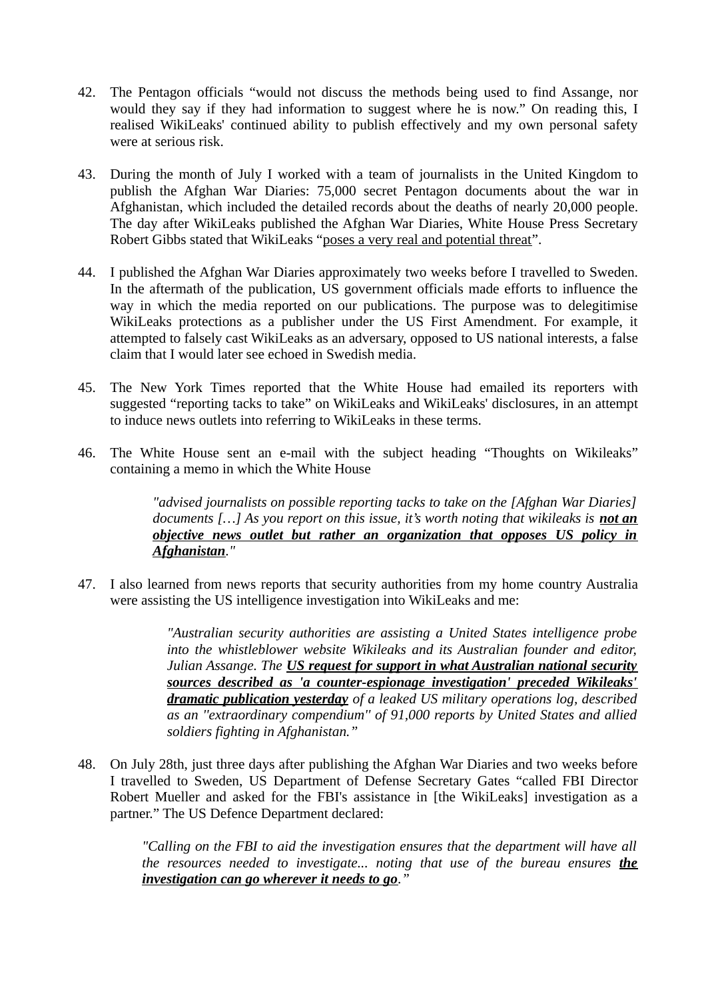- 42. The Pentagon officials "would not discuss the methods being used to find Assange, nor would they say if they had information to suggest where he is now." On reading this, I realised WikiLeaks' continued ability to publish effectively and my own personal safety were at serious risk.
- 43. During the month of July I worked with a team of journalists in the United Kingdom to publish the Afghan War Diaries: 75,000 secret Pentagon documents about the war in Afghanistan, which included the detailed records about the deaths of nearly 20,000 people. The day after WikiLeaks published the Afghan War Diaries, White House Press Secretary Robert Gibbs stated that WikiLeaks "poses a very real and potential threat".
- 44. I published the Afghan War Diaries approximately two weeks before I travelled to Sweden. In the aftermath of the publication, US government officials made efforts to influence the way in which the media reported on our publications. The purpose was to delegitimise WikiLeaks protections as a publisher under the US First Amendment. For example, it attempted to falsely cast WikiLeaks as an adversary, opposed to US national interests, a false claim that I would later see echoed in Swedish media.
- 45. The New York Times reported that the White House had emailed its reporters with suggested "reporting tacks to take" on WikiLeaks and WikiLeaks' disclosures, in an attempt to induce news outlets into referring to WikiLeaks in these terms.
- 46. The White House sent an e-mail with the subject heading "Thoughts on Wikileaks" containing a memo in which the White House

"advised journalists on possible reporting tacks to take on the [Afghan War Diaries] documents [...] As you report on this issue, it's worth noting that wikileaks is **not an** objective news outlet but rather an organization that opposes US policy in Afghanistan."

47. I also learned from news reports that security authorities from my home country Australia were assisting the US intelligence investigation into WikiLeaks and me:

> "Australian security authorities are assisting a United States intelligence probe into the whistleblower website Wikileaks and its Australian founder and editor, Julian Assange. The US request for support in what Australian national security sources described as 'a counter-espionage investigation' preceded Wikileaks' dramatic publication yesterday of a leaked US military operations log, described as an ''extraordinary compendium'' of 91,000 reports by United States and allied soldiers fighting in Afghanistan."

48. On July 28th, just three days after publishing the Afghan War Diaries and two weeks before I travelled to Sweden, US Department of Defense Secretary Gates "called FBI Director Robert Mueller and asked for the FBI's assistance in [the WikiLeaks] investigation as a partner." The US Defence Department declared:

> "Calling on the FBI to aid the investigation ensures that the department will have all the resources needed to investigate... noting that use of the bureau ensures the investigation can go wherever it needs to go."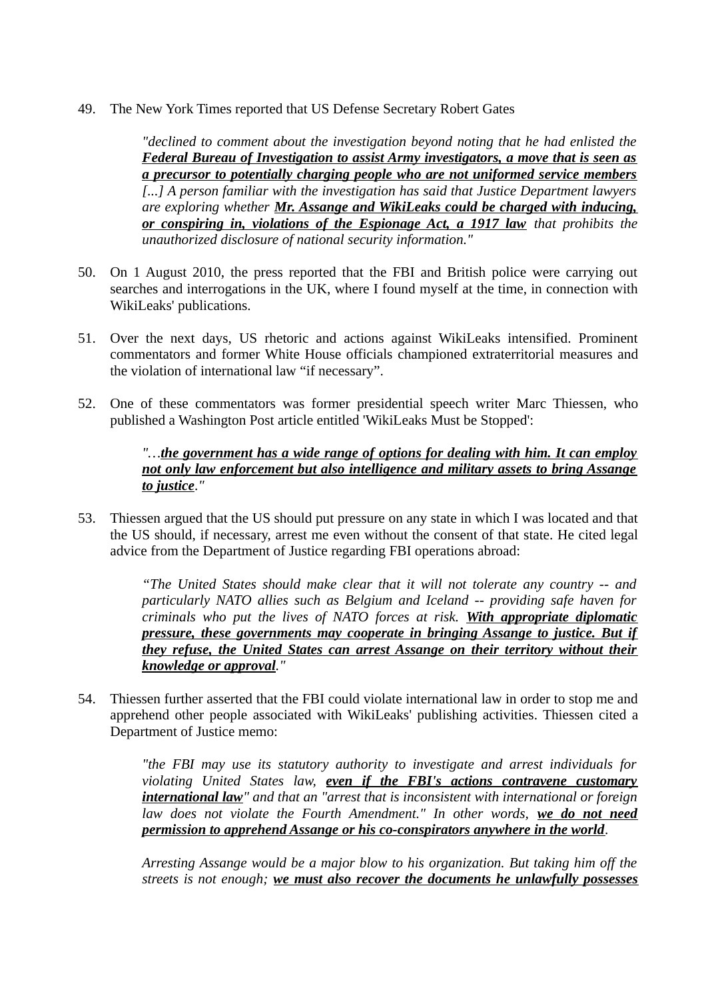49. The New York Times reported that US Defense Secretary Robert Gates

"declined to comment about the investigation beyond noting that he had enlisted the Federal Bureau of Investigation to assist Army investigators, a move that is seen as a precursor to potentially charging people who are not uniformed service members [...] A person familiar with the investigation has said that Justice Department lawyers are exploring whether Mr. Assange and WikiLeaks could be charged with inducing, or conspiring in, violations of the Espionage Act, a 1917 law that prohibits the unauthorized disclosure of national security information."

- 50. On 1 August 2010, the press reported that the FBI and British police were carrying out searches and interrogations in the UK, where I found myself at the time, in connection with WikiLeaks' publications.
- 51. Over the next days, US rhetoric and actions against WikiLeaks intensified. Prominent commentators and former White House officials championed extraterritorial measures and the violation of international law "if necessary".
- 52. One of these commentators was former presidential speech writer Marc Thiessen, who published a Washington Post article entitled 'WikiLeaks Must be Stopped':

#### "…the government has a wide range of options for dealing with him. It can employ not only law enforcement but also intelligence and military assets to bring Assange to justice."

53. Thiessen argued that the US should put pressure on any state in which I was located and that the US should, if necessary, arrest me even without the consent of that state. He cited legal advice from the Department of Justice regarding FBI operations abroad:

> "The United States should make clear that it will not tolerate any country -- and particularly NATO allies such as Belgium and Iceland -- providing safe haven for criminals who put the lives of NATO forces at risk. With appropriate diplomatic pressure, these governments may cooperate in bringing Assange to justice. But if they refuse, the United States can arrest Assange on their territory without their knowledge or approval."

54. Thiessen further asserted that the FBI could violate international law in order to stop me and apprehend other people associated with WikiLeaks' publishing activities. Thiessen cited a Department of Justice memo:

> "the FBI may use its statutory authority to investigate and arrest individuals for violating United States law, even if the FBI's actions contravene customary international law" and that an "arrest that is inconsistent with international or foreign law does not violate the Fourth Amendment." In other words, we do not need permission to apprehend Assange or his co-conspirators anywhere in the world.

> Arresting Assange would be a major blow to his organization. But taking him off the streets is not enough; we must also recover the documents he unlawfully possesses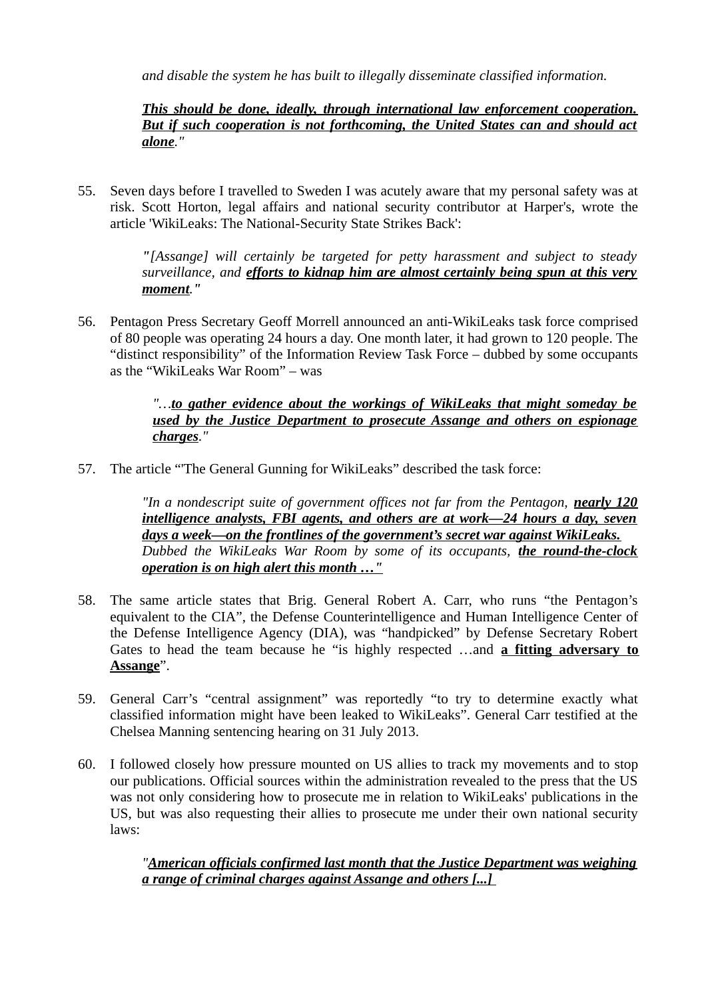and disable the system he has built to illegally disseminate classified information.

## This should be done, ideally, through international law enforcement cooperation. But if such cooperation is not forthcoming, the United States can and should act alone."

55. Seven days before I travelled to Sweden I was acutely aware that my personal safety was at risk. Scott Horton, legal affairs and national security contributor at Harper's, wrote the article 'WikiLeaks: The National-Security State Strikes Back':

> "[Assange] will certainly be targeted for petty harassment and subject to steady surveillance, and efforts to kidnap him are almost certainly being spun at this very moment."

56. Pentagon Press Secretary Geoff Morrell announced an anti-WikiLeaks task force comprised of 80 people was operating 24 hours a day. One month later, it had grown to 120 people. The "distinct responsibility" of the Information Review Task Force – dubbed by some occupants as the "WikiLeaks War Room" – was

> "...to gather evidence about the workings of WikiLeaks that might someday be used by the Justice Department to prosecute Assange and others on espionage charges."

57. The article "'The General Gunning for WikiLeaks" described the task force:

"In a nondescript suite of government offices not far from the Pentagon, nearly 120 intelligence analysts, FBI agents, and others are at work—24 hours a day, seven days a week—on the frontlines of the government's secret war against WikiLeaks. Dubbed the WikiLeaks War Room by some of its occupants, the round-the-clock operation is on high alert this month …"

- 58. The same article states that Brig. General Robert A. Carr, who runs "the Pentagon's equivalent to the CIA", the Defense Counterintelligence and Human Intelligence Center of the Defense Intelligence Agency (DIA), was "handpicked" by Defense Secretary Robert Gates to head the team because he "is highly respected ... and a fitting adversary to Assange".
- 59. General Carr's "central assignment" was reportedly "to try to determine exactly what classified information might have been leaked to WikiLeaks". General Carr testified at the Chelsea Manning sentencing hearing on 31 July 2013.
- 60. I followed closely how pressure mounted on US allies to track my movements and to stop our publications. Official sources within the administration revealed to the press that the US was not only considering how to prosecute me in relation to WikiLeaks' publications in the US, but was also requesting their allies to prosecute me under their own national security laws:

"American officials confirmed last month that the Justice Department was weighing a range of criminal charges against Assange and others [...]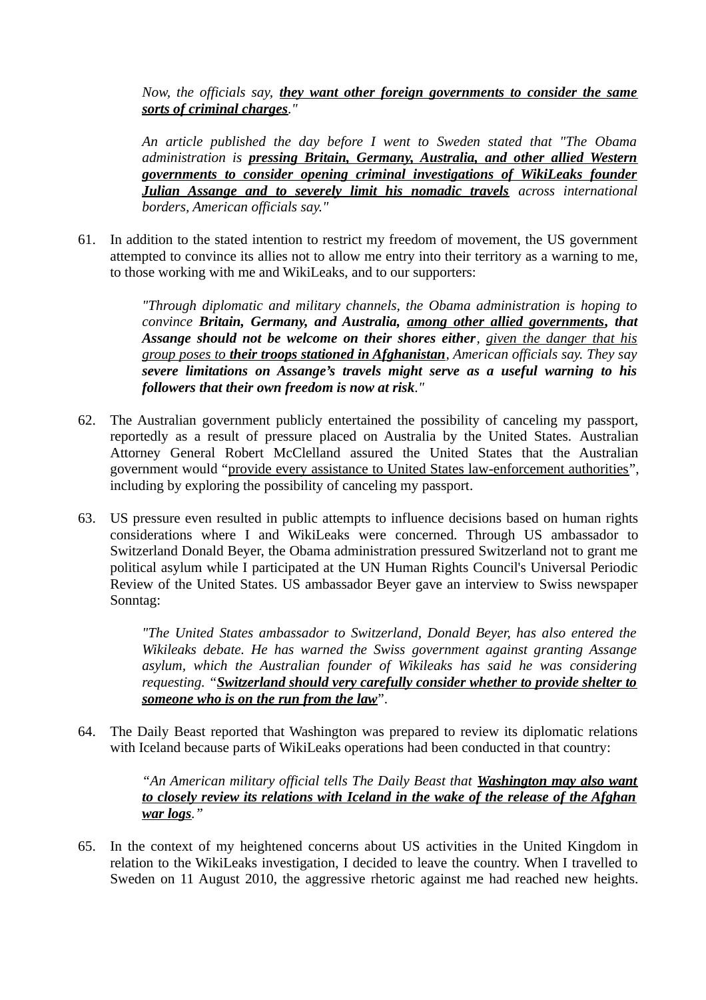Now, the officials say, they want other foreign governments to consider the same sorts of criminal charges."

An article published the day before I went to Sweden stated that "The Obama administration is pressing Britain, Germany, Australia, and other allied Western governments to consider opening criminal investigations of WikiLeaks founder Julian Assange and to severely limit his nomadic travels across international borders, American officials say."

61. In addition to the stated intention to restrict my freedom of movement, the US government attempted to convince its allies not to allow me entry into their territory as a warning to me, to those working with me and WikiLeaks, and to our supporters:

> "Through diplomatic and military channels, the Obama administration is hoping to convince Britain, Germany, and Australia, among other allied governments, that Assange should not be welcome on their shores either, given the danger that his group poses to their troops stationed in Afghanistan, American officials say. They say severe limitations on Assange's travels might serve as a useful warning to his followers that their own freedom is now at risk."

- 62. The Australian government publicly entertained the possibility of canceling my passport, reportedly as a result of pressure placed on Australia by the United States. Australian Attorney General Robert McClelland assured the United States that the Australian government would "provide every assistance to United States law-enforcement authorities", including by exploring the possibility of canceling my passport.
- 63. US pressure even resulted in public attempts to influence decisions based on human rights considerations where I and WikiLeaks were concerned. Through US ambassador to Switzerland Donald Beyer, the Obama administration pressured Switzerland not to grant me political asylum while I participated at the UN Human Rights Council's Universal Periodic Review of the United States. US ambassador Beyer gave an interview to Swiss newspaper Sonntag:

"The United States ambassador to Switzerland, Donald Beyer, has also entered the Wikileaks debate. He has warned the Swiss government against granting Assange asylum, which the Australian founder of Wikileaks has said he was considering requesting. "Switzerland should very carefully consider whether to provide shelter to someone who is on the run from the law".

64. The Daily Beast reported that Washington was prepared to review its diplomatic relations with Iceland because parts of WikiLeaks operations had been conducted in that country:

#### "An American military official tells The Daily Beast that Washington may also want to closely review its relations with Iceland in the wake of the release of the Afghan war logs."

65. In the context of my heightened concerns about US activities in the United Kingdom in relation to the WikiLeaks investigation, I decided to leave the country. When I travelled to Sweden on 11 August 2010, the aggressive rhetoric against me had reached new heights.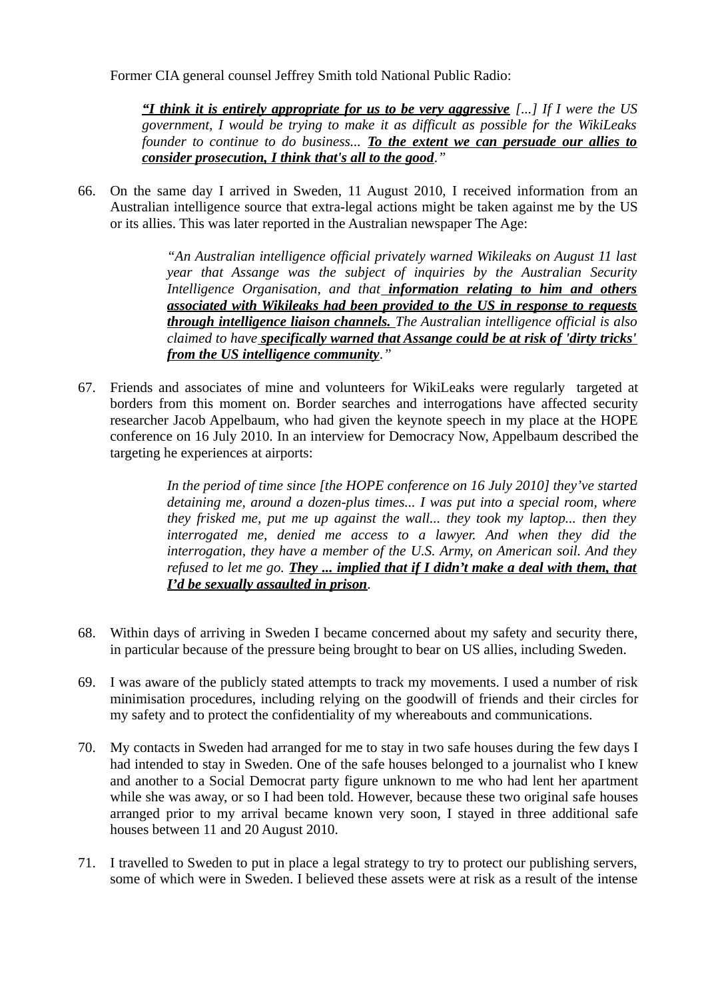Former CIA general counsel Jeffrey Smith told National Public Radio:

"I think it is entirely appropriate for us to be very aggressive  $\lceil ... \rceil$  If I were the US government, I would be trying to make it as difficult as possible for the WikiLeaks founder to continue to do business... To the extent we can persuade our allies to consider prosecution, I think that's all to the good."

66. On the same day I arrived in Sweden, 11 August 2010, I received information from an Australian intelligence source that extra-legal actions might be taken against me by the US or its allies. This was later reported in the Australian newspaper The Age:

> "An Australian intelligence official privately warned Wikileaks on August 11 last year that Assange was the subject of inquiries by the Australian Security Intelligence Organisation, and that information relating to him and others associated with Wikileaks had been provided to the US in response to requests through intelligence liaison channels. The Australian intelligence official is also claimed to have **specifically warned that Assange could be at risk of 'dirty tricks'** from the US intelligence community."

67. Friends and associates of mine and volunteers for WikiLeaks were regularly targeted at borders from this moment on. Border searches and interrogations have affected security researcher Jacob Appelbaum, who had given the keynote speech in my place at the HOPE conference on 16 July 2010. In an interview for Democracy Now, Appelbaum described the targeting he experiences at airports:

> In the period of time since [the HOPE conference on 16 July 2010] they've started detaining me, around a dozen-plus times... I was put into a special room, where they frisked me, put me up against the wall... they took my laptop... then they interrogated me, denied me access to a lawyer. And when they did the interrogation, they have a member of the U.S. Army, on American soil. And they refused to let me go. They ... implied that if I didn't make a deal with them, that I'd be sexually assaulted in prison.

- 68. Within days of arriving in Sweden I became concerned about my safety and security there, in particular because of the pressure being brought to bear on US allies, including Sweden.
- 69. I was aware of the publicly stated attempts to track my movements. I used a number of risk minimisation procedures, including relying on the goodwill of friends and their circles for my safety and to protect the confidentiality of my whereabouts and communications.
- 70. My contacts in Sweden had arranged for me to stay in two safe houses during the few days I had intended to stay in Sweden. One of the safe houses belonged to a journalist who I knew and another to a Social Democrat party figure unknown to me who had lent her apartment while she was away, or so I had been told. However, because these two original safe houses arranged prior to my arrival became known very soon, I stayed in three additional safe houses between 11 and 20 August 2010.
- 71. I travelled to Sweden to put in place a legal strategy to try to protect our publishing servers, some of which were in Sweden. I believed these assets were at risk as a result of the intense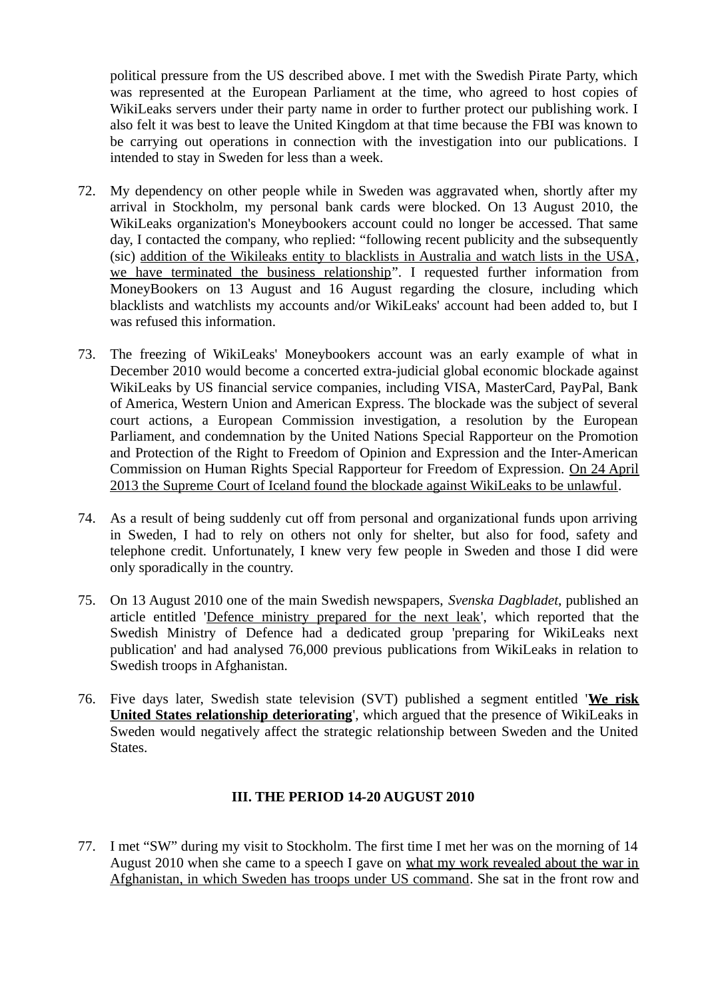political pressure from the US described above. I met with the Swedish Pirate Party, which was represented at the European Parliament at the time, who agreed to host copies of WikiLeaks servers under their party name in order to further protect our publishing work. I also felt it was best to leave the United Kingdom at that time because the FBI was known to be carrying out operations in connection with the investigation into our publications. I intended to stay in Sweden for less than a week.

- 72. My dependency on other people while in Sweden was aggravated when, shortly after my arrival in Stockholm, my personal bank cards were blocked. On 13 August 2010, the WikiLeaks organization's Moneybookers account could no longer be accessed. That same day, I contacted the company, who replied: "following recent publicity and the subsequently (sic) addition of the Wikileaks entity to blacklists in Australia and watch lists in the USA, we have terminated the business relationship". I requested further information from MoneyBookers on 13 August and 16 August regarding the closure, including which blacklists and watchlists my accounts and/or WikiLeaks' account had been added to, but I was refused this information.
- 73. The freezing of WikiLeaks' Moneybookers account was an early example of what in December 2010 would become a concerted extra-judicial global economic blockade against WikiLeaks by US financial service companies, including VISA, MasterCard, PayPal, Bank of America, Western Union and American Express. The blockade was the subject of several court actions, a European Commission investigation, a resolution by the European Parliament, and condemnation by the United Nations Special Rapporteur on the Promotion and Protection of the Right to Freedom of Opinion and Expression and the Inter-American Commission on Human Rights Special Rapporteur for Freedom of Expression. On 24 April 2013 the Supreme Court of Iceland found the blockade against WikiLeaks to be unlawful.
- 74. As a result of being suddenly cut off from personal and organizational funds upon arriving in Sweden, I had to rely on others not only for shelter, but also for food, safety and telephone credit. Unfortunately, I knew very few people in Sweden and those I did were only sporadically in the country.
- 75. On 13 August 2010 one of the main Swedish newspapers, Svenska Dagbladet, published an article entitled 'Defence ministry prepared for the next leak', which reported that the Swedish Ministry of Defence had a dedicated group 'preparing for WikiLeaks next publication' and had analysed 76,000 previous publications from WikiLeaks in relation to Swedish troops in Afghanistan.
- 76. Five days later, Swedish state television (SVT) published a segment entitled 'We risk United States relationship deteriorating', which argued that the presence of WikiLeaks in Sweden would negatively affect the strategic relationship between Sweden and the United States.

## III. THE PERIOD 14-20 AUGUST 2010

77. I met "SW" during my visit to Stockholm. The first time I met her was on the morning of 14 August 2010 when she came to a speech I gave on what my work revealed about the war in Afghanistan, in which Sweden has troops under US command. She sat in the front row and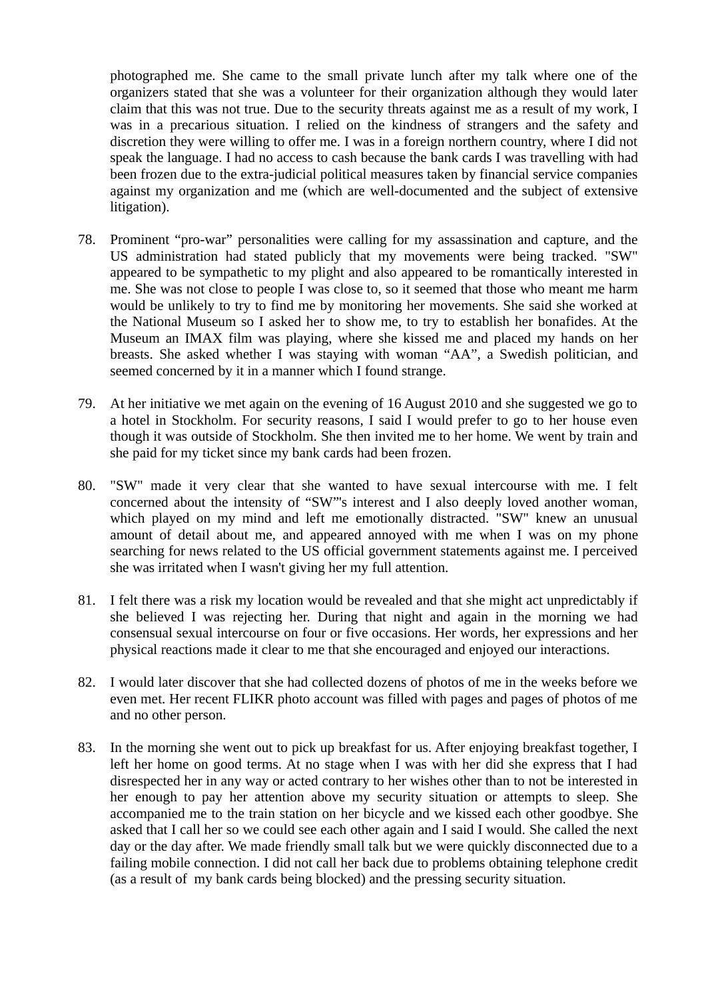photographed me. She came to the small private lunch after my talk where one of the organizers stated that she was a volunteer for their organization although they would later claim that this was not true. Due to the security threats against me as a result of my work, I was in a precarious situation. I relied on the kindness of strangers and the safety and discretion they were willing to offer me. I was in a foreign northern country, where I did not speak the language. I had no access to cash because the bank cards I was travelling with had been frozen due to the extra-judicial political measures taken by financial service companies against my organization and me (which are well-documented and the subject of extensive litigation).

- 78. Prominent "pro-war" personalities were calling for my assassination and capture, and the US administration had stated publicly that my movements were being tracked. "SW" appeared to be sympathetic to my plight and also appeared to be romantically interested in me. She was not close to people I was close to, so it seemed that those who meant me harm would be unlikely to try to find me by monitoring her movements. She said she worked at the National Museum so I asked her to show me, to try to establish her bonafides. At the Museum an IMAX film was playing, where she kissed me and placed my hands on her breasts. She asked whether I was staying with woman "AA", a Swedish politician, and seemed concerned by it in a manner which I found strange.
- 79. At her initiative we met again on the evening of 16 August 2010 and she suggested we go to a hotel in Stockholm. For security reasons, I said I would prefer to go to her house even though it was outside of Stockholm. She then invited me to her home. We went by train and she paid for my ticket since my bank cards had been frozen.
- 80. "SW" made it very clear that she wanted to have sexual intercourse with me. I felt concerned about the intensity of "SW"'s interest and I also deeply loved another woman, which played on my mind and left me emotionally distracted. "SW" knew an unusual amount of detail about me, and appeared annoyed with me when I was on my phone searching for news related to the US official government statements against me. I perceived she was irritated when I wasn't giving her my full attention.
- 81. I felt there was a risk my location would be revealed and that she might act unpredictably if she believed I was rejecting her. During that night and again in the morning we had consensual sexual intercourse on four or five occasions. Her words, her expressions and her physical reactions made it clear to me that she encouraged and enjoyed our interactions.
- 82. I would later discover that she had collected dozens of photos of me in the weeks before we even met. Her recent FLIKR photo account was filled with pages and pages of photos of me and no other person.
- 83. In the morning she went out to pick up breakfast for us. After enjoying breakfast together, I left her home on good terms. At no stage when I was with her did she express that I had disrespected her in any way or acted contrary to her wishes other than to not be interested in her enough to pay her attention above my security situation or attempts to sleep. She accompanied me to the train station on her bicycle and we kissed each other goodbye. She asked that I call her so we could see each other again and I said I would. She called the next day or the day after. We made friendly small talk but we were quickly disconnected due to a failing mobile connection. I did not call her back due to problems obtaining telephone credit (as a result of my bank cards being blocked) and the pressing security situation.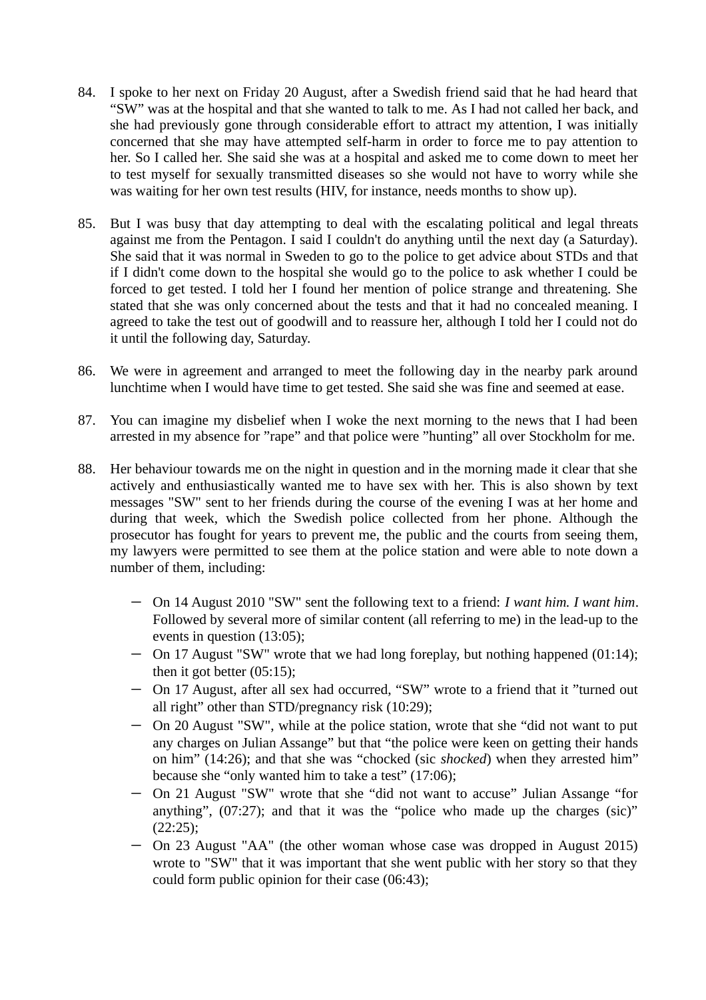- 84. I spoke to her next on Friday 20 August, after a Swedish friend said that he had heard that "SW" was at the hospital and that she wanted to talk to me. As I had not called her back, and she had previously gone through considerable effort to attract my attention, I was initially concerned that she may have attempted self-harm in order to force me to pay attention to her. So I called her. She said she was at a hospital and asked me to come down to meet her to test myself for sexually transmitted diseases so she would not have to worry while she was waiting for her own test results (HIV, for instance, needs months to show up).
- 85. But I was busy that day attempting to deal with the escalating political and legal threats against me from the Pentagon. I said I couldn't do anything until the next day (a Saturday). She said that it was normal in Sweden to go to the police to get advice about STDs and that if I didn't come down to the hospital she would go to the police to ask whether I could be forced to get tested. I told her I found her mention of police strange and threatening. She stated that she was only concerned about the tests and that it had no concealed meaning. I agreed to take the test out of goodwill and to reassure her, although I told her I could not do it until the following day, Saturday.
- 86. We were in agreement and arranged to meet the following day in the nearby park around lunchtime when I would have time to get tested. She said she was fine and seemed at ease.
- 87. You can imagine my disbelief when I woke the next morning to the news that I had been arrested in my absence for "rape" and that police were "hunting" all over Stockholm for me.
- 88. Her behaviour towards me on the night in question and in the morning made it clear that she actively and enthusiastically wanted me to have sex with her. This is also shown by text messages "SW" sent to her friends during the course of the evening I was at her home and during that week, which the Swedish police collected from her phone. Although the prosecutor has fought for years to prevent me, the public and the courts from seeing them, my lawyers were permitted to see them at the police station and were able to note down a number of them, including:
	- On 14 August 2010 "SW" sent the following text to a friend: I want him. I want him. Followed by several more of similar content (all referring to me) in the lead-up to the events in question (13:05);
	- On 17 August "SW" wrote that we had long foreplay, but nothing happened (01:14); then it got better (05:15);
	- On 17 August, after all sex had occurred, "SW" wrote to a friend that it "turned out all right" other than STD/pregnancy risk (10:29);
	- On 20 August "SW", while at the police station, wrote that she "did not want to put any charges on Julian Assange" but that "the police were keen on getting their hands on him" (14:26); and that she was "chocked (sic shocked) when they arrested him" because she "only wanted him to take a test" (17:06);
	- On 21 August "SW" wrote that she "did not want to accuse" Julian Assange "for anything", (07:27); and that it was the "police who made up the charges (sic)" (22:25);
	- On 23 August "AA" (the other woman whose case was dropped in August 2015) wrote to "SW" that it was important that she went public with her story so that they could form public opinion for their case (06:43);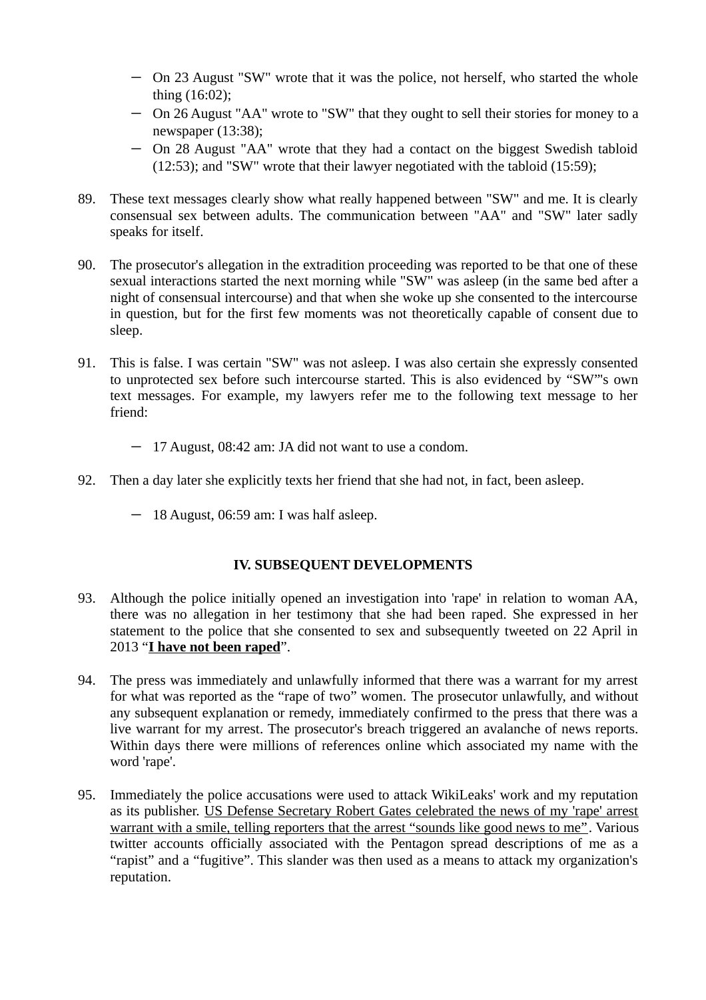- On 23 August "SW" wrote that it was the police, not herself, who started the whole thing (16:02);
- On 26 August "AA" wrote to "SW" that they ought to sell their stories for money to a newspaper (13:38);
- On 28 August "AA" wrote that they had a contact on the biggest Swedish tabloid (12:53); and "SW" wrote that their lawyer negotiated with the tabloid (15:59);
- 89. These text messages clearly show what really happened between "SW" and me. It is clearly consensual sex between adults. The communication between "AA" and "SW" later sadly speaks for itself.
- 90. The prosecutor's allegation in the extradition proceeding was reported to be that one of these sexual interactions started the next morning while "SW" was asleep (in the same bed after a night of consensual intercourse) and that when she woke up she consented to the intercourse in question, but for the first few moments was not theoretically capable of consent due to sleep.
- 91. This is false. I was certain "SW" was not asleep. I was also certain she expressly consented to unprotected sex before such intercourse started. This is also evidenced by "SW"'s own text messages. For example, my lawyers refer me to the following text message to her friend:
	- 17 August, 08:42 am: JA did not want to use a condom.
- 92. Then a day later she explicitly texts her friend that she had not, in fact, been asleep.
	- 18 August, 06:59 am: I was half asleep.

## IV. SUBSEQUENT DEVELOPMENTS

- 93. Although the police initially opened an investigation into 'rape' in relation to woman AA, there was no allegation in her testimony that she had been raped. She expressed in her statement to the police that she consented to sex and subsequently tweeted on 22 April in 2013 "I have not been raped".
- 94. The press was immediately and unlawfully informed that there was a warrant for my arrest for what was reported as the "rape of two" women. The prosecutor unlawfully, and without any subsequent explanation or remedy, immediately confirmed to the press that there was a live warrant for my arrest. The prosecutor's breach triggered an avalanche of news reports. Within days there were millions of references online which associated my name with the word 'rape'.
- 95. Immediately the police accusations were used to attack WikiLeaks' work and my reputation as its publisher. US Defense Secretary Robert Gates celebrated the news of my 'rape' arrest warrant with a smile, telling reporters that the arrest "sounds like good news to me". Various twitter accounts officially associated with the Pentagon spread descriptions of me as a "rapist" and a "fugitive". This slander was then used as a means to attack my organization's reputation.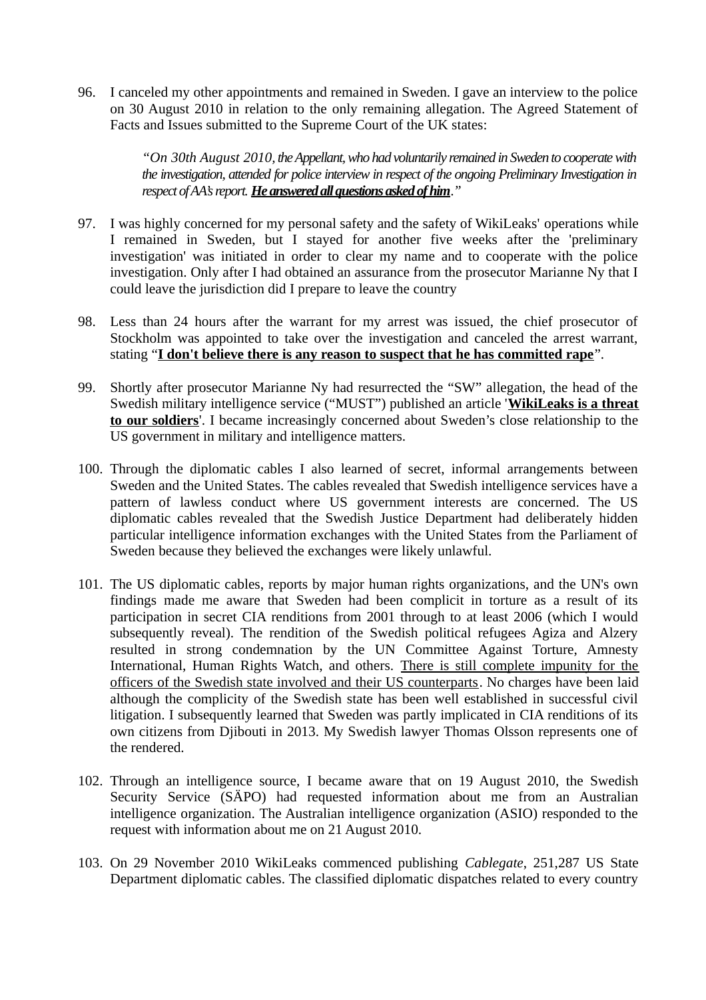96. I canceled my other appointments and remained in Sweden. I gave an interview to the police on 30 August 2010 in relation to the only remaining allegation. The Agreed Statement of Facts and Issues submitted to the Supreme Court of the UK states:

> "On 30th August 2010, the Appellant, who had voluntarily remained in Sweden to cooperate with the investigation, attended for police interview in respect of the ongoing Preliminary Investigation in respect of AA's report. He answered all questions asked of him."

- 97. I was highly concerned for my personal safety and the safety of WikiLeaks' operations while I remained in Sweden, but I stayed for another five weeks after the 'preliminary investigation' was initiated in order to clear my name and to cooperate with the police investigation. Only after I had obtained an assurance from the prosecutor Marianne Ny that I could leave the jurisdiction did I prepare to leave the country
- 98. Less than 24 hours after the warrant for my arrest was issued, the chief prosecutor of Stockholm was appointed to take over the investigation and canceled the arrest warrant, stating "I don't believe there is any reason to suspect that he has committed rape".
- 99. Shortly after prosecutor Marianne Ny had resurrected the "SW" allegation, the head of the Swedish military intelligence service ("MUST") published an article 'WikiLeaks is a threat to our soldiers'. I became increasingly concerned about Sweden's close relationship to the US government in military and intelligence matters.
- 100. Through the diplomatic cables I also learned of secret, informal arrangements between Sweden and the United States. The cables revealed that Swedish intelligence services have a pattern of lawless conduct where US government interests are concerned. The US diplomatic cables revealed that the Swedish Justice Department had deliberately hidden particular intelligence information exchanges with the United States from the Parliament of Sweden because they believed the exchanges were likely unlawful.
- 101. The US diplomatic cables, reports by major human rights organizations, and the UN's own findings made me aware that Sweden had been complicit in torture as a result of its participation in secret CIA renditions from 2001 through to at least 2006 (which I would subsequently reveal). The rendition of the Swedish political refugees Agiza and Alzery resulted in strong condemnation by the UN Committee Against Torture, Amnesty International, Human Rights Watch, and others. There is still complete impunity for the officers of the Swedish state involved and their US counterparts. No charges have been laid although the complicity of the Swedish state has been well established in successful civil litigation. I subsequently learned that Sweden was partly implicated in CIA renditions of its own citizens from Djibouti in 2013. My Swedish lawyer Thomas Olsson represents one of the rendered.
- 102. Through an intelligence source, I became aware that on 19 August 2010, the Swedish Security Service (SÄPO) had requested information about me from an Australian intelligence organization. The Australian intelligence organization (ASIO) responded to the request with information about me on 21 August 2010.
- 103. On 29 November 2010 WikiLeaks commenced publishing Cablegate, 251,287 US State Department diplomatic cables. The classified diplomatic dispatches related to every country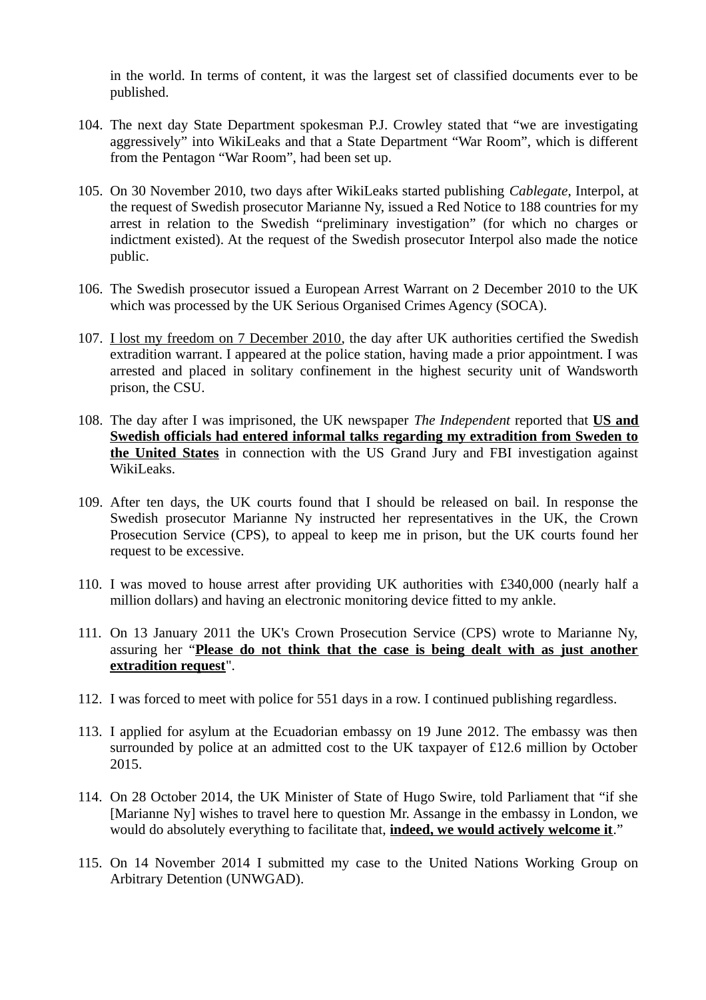in the world. In terms of content, it was the largest set of classified documents ever to be published.

- 104. The next day State Department spokesman P.J. Crowley stated that "we are investigating aggressively" into WikiLeaks and that a State Department "War Room", which is different from the Pentagon "War Room", had been set up.
- 105. On 30 November 2010, two days after WikiLeaks started publishing Cablegate, Interpol, at the request of Swedish prosecutor Marianne Ny, issued a Red Notice to 188 countries for my arrest in relation to the Swedish "preliminary investigation" (for which no charges or indictment existed). At the request of the Swedish prosecutor Interpol also made the notice public.
- 106. The Swedish prosecutor issued a European Arrest Warrant on 2 December 2010 to the UK which was processed by the UK Serious Organised Crimes Agency (SOCA).
- 107. I lost my freedom on 7 December 2010, the day after UK authorities certified the Swedish extradition warrant. I appeared at the police station, having made a prior appointment. I was arrested and placed in solitary confinement in the highest security unit of Wandsworth prison, the CSU.
- 108. The day after I was imprisoned, the UK newspaper The Independent reported that US and Swedish officials had entered informal talks regarding my extradition from Sweden to the United States in connection with the US Grand Jury and FBI investigation against WikiLeaks.
- 109. After ten days, the UK courts found that I should be released on bail. In response the Swedish prosecutor Marianne Ny instructed her representatives in the UK, the Crown Prosecution Service (CPS), to appeal to keep me in prison, but the UK courts found her request to be excessive.
- 110. I was moved to house arrest after providing UK authorities with £340,000 (nearly half a million dollars) and having an electronic monitoring device fitted to my ankle.
- 111. On 13 January 2011 the UK's Crown Prosecution Service (CPS) wrote to Marianne Ny, assuring her "Please do not think that the case is being dealt with as just another extradition request".
- 112. I was forced to meet with police for 551 days in a row. I continued publishing regardless.
- 113. I applied for asylum at the Ecuadorian embassy on 19 June 2012. The embassy was then surrounded by police at an admitted cost to the UK taxpayer of £12.6 million by October 2015.
- 114. On 28 October 2014, the UK Minister of State of Hugo Swire, told Parliament that "if she [Marianne Ny] wishes to travel here to question Mr. Assange in the embassy in London, we would do absolutely everything to facilitate that, *indeed*, we would actively welcome it."
- 115. On 14 November 2014 I submitted my case to the United Nations Working Group on Arbitrary Detention (UNWGAD).